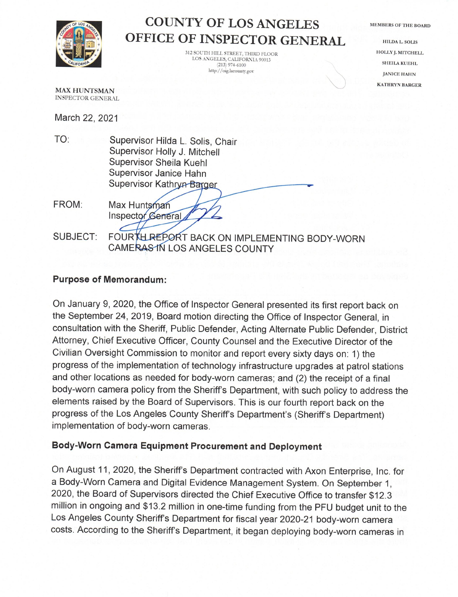

## **COUNTY OF LOS ANGELES** OFFICE OF INSPECTOR GENERAL

312 SOUTH HILL STREET, THIRD FLOOR LOS ANGELES, CALIFORNIA 90013  $(213)$  974-6100 http://oig.lacounty.gov

**MEMBERS OF THE BOARD** 

**HILDA L. SOLIS** HOLLY J. MITCHELL **SHEILA KUEHL JANICE HAHN KATHRYN BARGER** 

**MAX HUNTSMAN INSPECTOR GENERAL** 

March 22, 2021

- TO: Supervisor Hilda L. Solis, Chair Supervisor Holly J. Mitchell Supervisor Sheila Kuehl Supervisor Janice Hahn Supervisor Kathryn Barger
- FROM: Max Huntsman Inspector General
- **SUBJECT:** FOURTH REPORT BACK ON IMPLEMENTING BODY-WORN **CAMERAS IN LOS ANGELES COUNTY**

## **Purpose of Memorandum:**

On January 9, 2020, the Office of Inspector General presented its first report back on the September 24, 2019, Board motion directing the Office of Inspector General, in consultation with the Sheriff, Public Defender, Acting Alternate Public Defender, District Attorney, Chief Executive Officer, County Counsel and the Executive Director of the Civilian Oversight Commission to monitor and report every sixty days on: 1) the progress of the implementation of technology infrastructure upgrades at patrol stations and other locations as needed for body-worn cameras; and (2) the receipt of a final body-worn camera policy from the Sheriff's Department, with such policy to address the elements raised by the Board of Supervisors. This is our fourth report back on the progress of the Los Angeles County Sheriff's Department's (Sheriff's Department) implementation of body-worn cameras.

## Body-Worn Camera Equipment Procurement and Deployment

On August 11, 2020, the Sheriff's Department contracted with Axon Enterprise, Inc. for a Body-Worn Camera and Digital Evidence Management System. On September 1, 2020, the Board of Supervisors directed the Chief Executive Office to transfer \$12.3 million in ongoing and \$13.2 million in one-time funding from the PFU budget unit to the Los Angeles County Sheriff's Department for fiscal year 2020-21 body-worn camera costs. According to the Sheriff's Department, it began deploying body-worn cameras in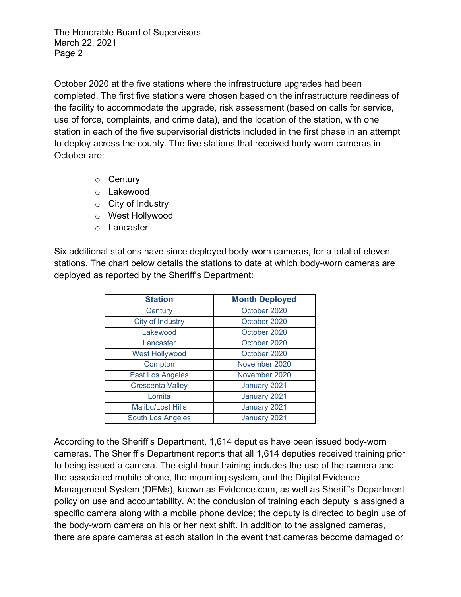October 2020 at the five stations where the infrastructure upgrades had been completed. The first five stations were chosen based on the infrastructure readiness of the facility to accommodate the upgrade, risk assessment (based on calls for service, use of force, complaints, and crime data), and the location of the station, with one station in each of the five supervisorial districts included in the first phase in an attempt to deploy across the county. The five stations that received body-worn cameras in October are:

- o Century
- o Lakewood
- $\circ$  City of Industry
- o West Hollywood
- o Lancaster

Six additional stations have since deployed body-worn cameras, for a total of eleven stations. The chart below details the stations to date at which body-worn cameras are deployed as reported by the Sheriff's Department:

| <b>Station</b>           | <b>Month Deployed</b> |
|--------------------------|-----------------------|
| Century                  | October 2020          |
| <b>City of Industry</b>  | October 2020          |
| Lakewood                 | October 2020          |
| Lancaster                | October 2020          |
| <b>West Hollywood</b>    | October 2020          |
| Compton                  | November 2020         |
| <b>East Los Angeles</b>  | November 2020         |
| <b>Crescenta Valley</b>  | January 2021          |
| Lomita                   | January 2021          |
| <b>Malibu/Lost Hills</b> | January 2021          |
| South Los Angeles        | January 2021          |

According to the Sheriff's Department, 1,614 deputies have been issued body-worn cameras. The Sheriff's Department reports that all 1,614 deputies received training prior to being issued a camera. The eight-hour training includes the use of the camera and the associated mobile phone, the mounting system, and the Digital Evidence Management System (DEMs), known as Evidence.com, as well as Sheriff's Department policy on use and accountability. At the conclusion of training each deputy is assigned a specific camera along with a mobile phone device; the deputy is directed to begin use of the body-worn camera on his or her next shift. In addition to the assigned cameras, there are spare cameras at each station in the event that cameras become damaged or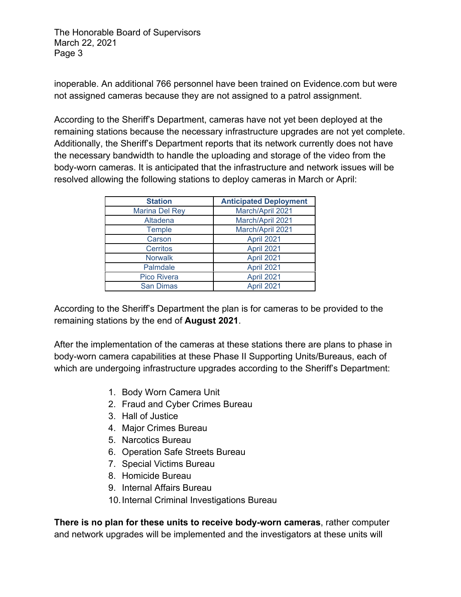inoperable. An additional 766 personnel have been trained on Evidence.com but were not assigned cameras because they are not assigned to a patrol assignment.

According to the Sheriff's Department, cameras have not yet been deployed at the remaining stations because the necessary infrastructure upgrades are not yet complete. Additionally, the Sheriff's Department reports that its network currently does not have the necessary bandwidth to handle the uploading and storage of the video from the body-worn cameras. It is anticipated that the infrastructure and network issues will be resolved allowing the following stations to deploy cameras in March or April:

| <b>Station</b>        | <b>Anticipated Deployment</b> |
|-----------------------|-------------------------------|
| <b>Marina Del Rey</b> | March/April 2021              |
| Altadena              | March/April 2021              |
| <b>Temple</b>         | March/April 2021              |
| Carson                | April 2021                    |
| Cerritos              | April 2021                    |
| <b>Norwalk</b>        | April 2021                    |
| Palmdale              | April 2021                    |
| <b>Pico Rivera</b>    | April 2021                    |
| <b>San Dimas</b>      | April 2021                    |

According to the Sheriff's Department the plan is for cameras to be provided to the remaining stations by the end of **August 2021**.

After the implementation of the cameras at these stations there are plans to phase in body-worn camera capabilities at these Phase II Supporting Units/Bureaus, each of which are undergoing infrastructure upgrades according to the Sheriff's Department:

- 1. Body Worn Camera Unit
- 2. Fraud and Cyber Crimes Bureau
- 3. Hall of Justice
- 4. Major Crimes Bureau
- 5. Narcotics Bureau
- 6. Operation Safe Streets Bureau
- 7. Special Victims Bureau
- 8. Homicide Bureau
- 9. Internal Affairs Bureau
- 10.Internal Criminal Investigations Bureau

**There is no plan for these units to receive body-worn cameras**, rather computer and network upgrades will be implemented and the investigators at these units will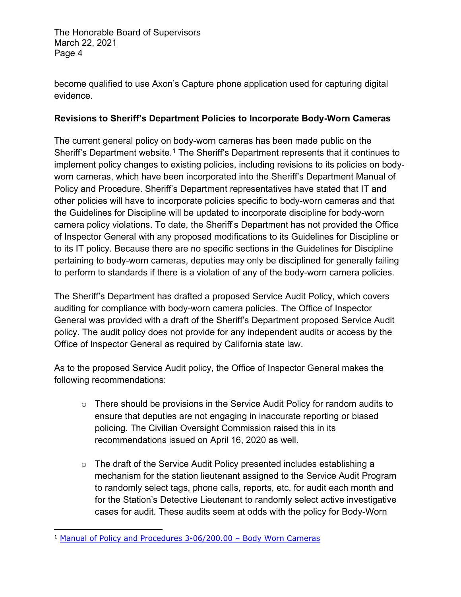become qualified to use Axon's Capture phone application used for capturing digital evidence.

## **Revisions to Sheriff's Department Policies to Incorporate Body-Worn Cameras**

The current general policy on body-worn cameras has been made public on the Sheriff's Department website.<sup>[1](#page-3-0)</sup> The Sheriff's Department represents that it continues to implement policy changes to existing policies, including revisions to its policies on bodyworn cameras, which have been incorporated into the Sheriff's Department Manual of Policy and Procedure. Sheriff's Department representatives have stated that IT and other policies will have to incorporate policies specific to body-worn cameras and that the Guidelines for Discipline will be updated to incorporate discipline for body-worn camera policy violations. To date, the Sheriff's Department has not provided the Office of Inspector General with any proposed modifications to its Guidelines for Discipline or to its IT policy. Because there are no specific sections in the Guidelines for Discipline pertaining to body-worn cameras, deputies may only be disciplined for generally failing to perform to standards if there is a violation of any of the body-worn camera policies.

The Sheriff's Department has drafted a proposed Service Audit Policy, which covers auditing for compliance with body-worn camera policies. The Office of Inspector General was provided with a draft of the Sheriff's Department proposed Service Audit policy. The audit policy does not provide for any independent audits or access by the Office of Inspector General as required by California state law.

As to the proposed Service Audit policy, the Office of Inspector General makes the following recommendations:

- $\circ$  There should be provisions in the Service Audit Policy for random audits to ensure that deputies are not engaging in inaccurate reporting or biased policing. The Civilian Oversight Commission raised this in its recommendations issued on April 16, 2020 as well.
- o The draft of the Service Audit Policy presented includes establishing a mechanism for the station lieutenant assigned to the Service Audit Program to randomly select tags, phone calls, reports, etc. for audit each month and for the Station's Detective Lieutenant to randomly select active investigative cases for audit. These audits seem at odds with the policy for Body-Worn

<span id="page-3-0"></span><sup>1</sup> [Manual of Policy and Procedures 3-06/200.00 –](http://pars.lasd.org/Viewer/Manuals/10931/Content/15666?showHistorical=True&_ga=2.166697081.677829159.1602802930-1590352111.1600970351) Body Worn Cameras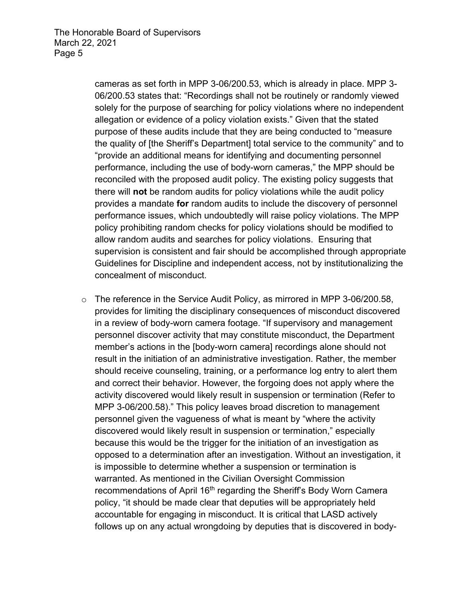cameras as set forth in MPP 3-06/200.53, which is already in place. MPP 3- 06/200.53 states that: "Recordings shall not be routinely or randomly viewed solely for the purpose of searching for policy violations where no independent allegation or evidence of a policy violation exists." Given that the stated purpose of these audits include that they are being conducted to "measure the quality of [the Sheriff's Department] total service to the community" and to "provide an additional means for identifying and documenting personnel performance, including the use of body-worn cameras," the MPP should be reconciled with the proposed audit policy. The existing policy suggests that there will **not** be random audits for policy violations while the audit policy provides a mandate **for** random audits to include the discovery of personnel performance issues, which undoubtedly will raise policy violations. The MPP policy prohibiting random checks for policy violations should be modified to allow random audits and searches for policy violations. Ensuring that supervision is consistent and fair should be accomplished through appropriate Guidelines for Discipline and independent access, not by institutionalizing the concealment of misconduct.

o The reference in the Service Audit Policy, as mirrored in MPP 3-06/200.58, provides for limiting the disciplinary consequences of misconduct discovered in a review of body-worn camera footage. "If supervisory and management personnel discover activity that may constitute misconduct, the Department member's actions in the [body-worn camera] recordings alone should not result in the initiation of an administrative investigation. Rather, the member should receive counseling, training, or a performance log entry to alert them and correct their behavior. However, the forgoing does not apply where the activity discovered would likely result in suspension or termination (Refer to MPP 3-06/200.58)." This policy leaves broad discretion to management personnel given the vagueness of what is meant by "where the activity discovered would likely result in suspension or termination," especially because this would be the trigger for the initiation of an investigation as opposed to a determination after an investigation. Without an investigation, it is impossible to determine whether a suspension or termination is warranted. As mentioned in the Civilian Oversight Commission recommendations of April 16<sup>th</sup> regarding the Sheriff's Body Worn Camera policy, "it should be made clear that deputies will be appropriately held accountable for engaging in misconduct. It is critical that LASD actively follows up on any actual wrongdoing by deputies that is discovered in body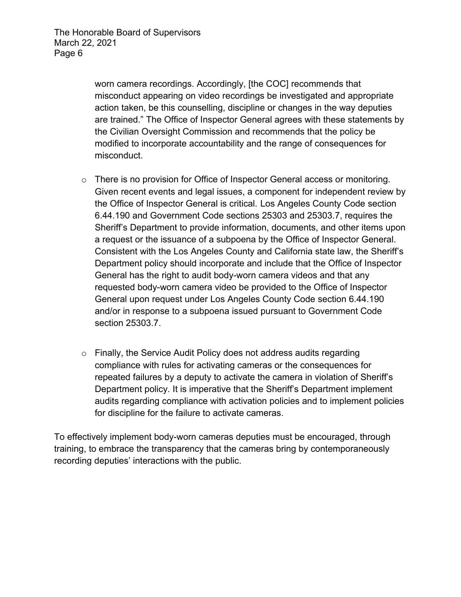worn camera recordings. Accordingly, [the COC] recommends that misconduct appearing on video recordings be investigated and appropriate action taken, be this counselling, discipline or changes in the way deputies are trained." The Office of Inspector General agrees with these statements by the Civilian Oversight Commission and recommends that the policy be modified to incorporate accountability and the range of consequences for misconduct.

- o There is no provision for Office of Inspector General access or monitoring. Given recent events and legal issues, a component for independent review by the Office of Inspector General is critical. Los Angeles County Code section 6.44.190 and Government Code sections 25303 and 25303.7, requires the Sheriff's Department to provide information, documents, and other items upon a request or the issuance of a subpoena by the Office of Inspector General. Consistent with the Los Angeles County and California state law, the Sheriff's Department policy should incorporate and include that the Office of Inspector General has the right to audit body-worn camera videos and that any requested body-worn camera video be provided to the Office of Inspector General upon request under Los Angeles County Code section 6.44.190 and/or in response to a subpoena issued pursuant to Government Code section 25303.7.
- o Finally, the Service Audit Policy does not address audits regarding compliance with rules for activating cameras or the consequences for repeated failures by a deputy to activate the camera in violation of Sheriff's Department policy. It is imperative that the Sheriff's Department implement audits regarding compliance with activation policies and to implement policies for discipline for the failure to activate cameras.

To effectively implement body-worn cameras deputies must be encouraged, through training, to embrace the transparency that the cameras bring by contemporaneously recording deputies' interactions with the public.